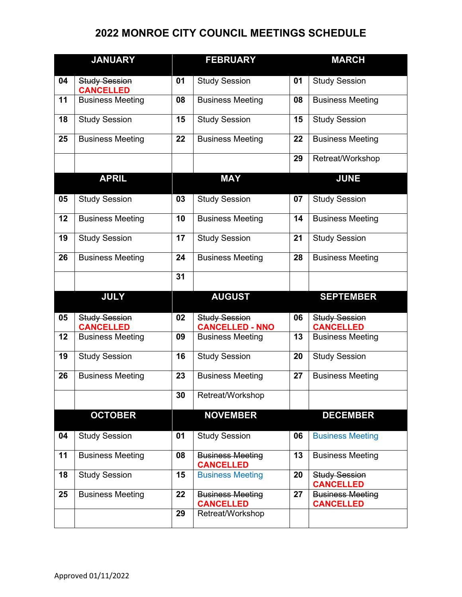## **MONROE CITY COUNCIL MEETINGS SCHEDULE**

|    | <b>JANUARY</b>                           |    | <b>FEBRUARY</b>                                |    | <b>MARCH</b>                                |
|----|------------------------------------------|----|------------------------------------------------|----|---------------------------------------------|
| 04 | <b>Study Session</b><br><b>CANCELLED</b> | 01 | <b>Study Session</b>                           | 01 | <b>Study Session</b>                        |
| 11 | <b>Business Meeting</b>                  | 08 | <b>Business Meeting</b>                        | 08 | <b>Business Meeting</b>                     |
| 18 | <b>Study Session</b>                     | 15 | <b>Study Session</b>                           | 15 | <b>Study Session</b>                        |
| 25 | <b>Business Meeting</b>                  | 22 | <b>Business Meeting</b>                        | 22 | <b>Business Meeting</b>                     |
|    |                                          |    |                                                | 29 | Retreat/Workshop                            |
|    | <b>APRIL</b>                             |    | <b>MAY</b>                                     |    | <b>JUNE</b>                                 |
| 05 | <b>Study Session</b>                     | 03 | <b>Study Session</b>                           | 07 | <b>Study Session</b>                        |
| 12 | <b>Business Meeting</b>                  | 10 | <b>Business Meeting</b>                        | 14 | <b>Business Meeting</b>                     |
| 19 | <b>Study Session</b>                     | 17 | <b>Study Session</b>                           | 21 | <b>Study Session</b>                        |
| 26 | <b>Business Meeting</b>                  | 24 | <b>Business Meeting</b>                        | 28 | <b>Business Meeting</b>                     |
|    |                                          | 31 |                                                |    |                                             |
|    | <b>JULY</b>                              |    | <b>AUGUST</b>                                  |    | <b>SEPTEMBER</b>                            |
| 05 | <b>Study Session</b><br><b>CANCELLED</b> | 02 | <b>Study Session</b><br><b>CANCELLED - NNO</b> | 06 | <b>Study Session</b><br><b>CANCELLED</b>    |
| 12 | <b>Business Meeting</b>                  | 09 | <b>Business Meeting</b>                        | 13 | <b>Business Meeting</b>                     |
| 19 | <b>Study Session</b>                     | 16 | <b>Study Session</b>                           | 20 | <b>Study Session</b>                        |
| 26 | <b>Business Meeting</b>                  | 23 | <b>Business Meeting</b>                        | 27 | <b>Business Meeting</b>                     |
|    |                                          | 30 | Retreat/Workshop                               |    |                                             |
|    | <b>OCTOBER</b>                           |    | <b>NOVEMBER</b>                                |    | <b>DECEMBER</b>                             |
| 04 | <b>Study Session</b>                     | 01 | <b>Study Session</b>                           | 06 | <b>Business Meeting</b>                     |
| 11 | <b>Business Meeting</b>                  | 08 | <b>Business Meeting</b><br><b>CANCELLED</b>    | 13 | <b>Business Meeting</b>                     |
| 18 | <b>Study Session</b>                     | 15 | <b>Business Meeting</b>                        | 20 | <b>Study Session</b><br><b>CANCELLED</b>    |
| 25 | <b>Business Meeting</b>                  | 22 | <b>Business Meeting</b><br><b>CANCELLED</b>    | 27 | <b>Business Meeting</b><br><b>CANCELLED</b> |
|    |                                          | 29 | Retreat/Workshop                               |    |                                             |